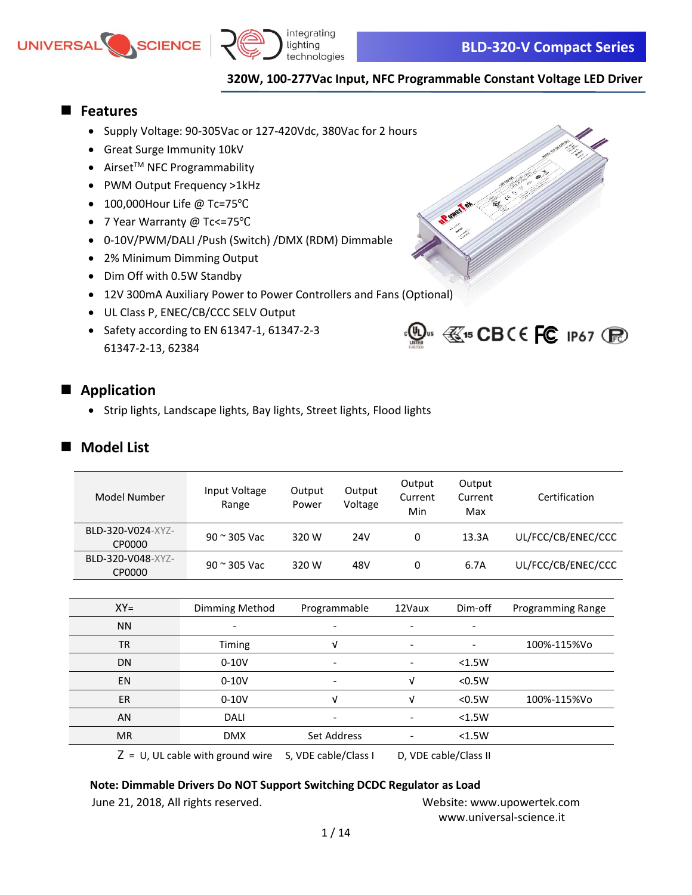



 $\mathbb{Q}$ us  $\mathbb{C}$ 15 CBCE FC 1P67 (Fe)

### **320W, 100-277Vac Input, NFC Programmable Constant Voltage LED Driver**

Reverted

### ◼ **Features**

- Supply Voltage: 90-305Vac or 127-420Vdc, 380Vac for 2 hours
- Great Surge Immunity 10kV
- $\bullet$  Airset<sup>TM</sup> NFC Programmability
- PWM Output Frequency >1kHz
- 100,000Hour Life @ Tc=75℃
- 7 Year Warranty @ Tc<=75℃
- 0-10V/PWM/DALI /Push (Switch) /DMX (RDM) Dimmable
- 2% Minimum Dimming Output
- Dim Off with 0.5W Standby
- 12V 300mA Auxiliary Power to Power Controllers and Fans (Optional)
- UL Class P, ENEC/CB/CCC SELV Output
- Safety according to EN 61347-1, 61347-2-3 61347-2-13, 62384

### ■ **Application**

• Strip lights, Landscape lights, Bay lights, Street lights, Flood lights

### **Model List**

| Model Number                | Input Voltage<br>Range              | Output<br>Power      | Output<br>Voltage | Output<br>Current<br>Min | Output<br>Current<br>Max | Certification            |
|-----------------------------|-------------------------------------|----------------------|-------------------|--------------------------|--------------------------|--------------------------|
| BLD-320-V024-XYZ-<br>CP0000 | 90 ~ 305 Vac                        | 320 W                | 24 <sub>V</sub>   | 0                        | 13.3A                    | UL/FCC/CB/ENEC/CCC       |
| BLD-320-V048-XYZ-<br>CP0000 | $90$ $\approx$ 305 Vac              | 320 W                | 48V               | 0                        | 6.7A                     | UL/FCC/CB/ENEC/CCC       |
|                             |                                     |                      |                   |                          |                          |                          |
| $XY=$                       | Dimming Method                      |                      | Programmable      | 12Vaux                   | Dim-off                  | <b>Programming Range</b> |
| <b>NN</b>                   |                                     |                      |                   |                          |                          |                          |
| <b>TR</b>                   | Timing                              |                      | v                 |                          |                          | 100%-115%Vo              |
| DN                          | $0-10V$                             |                      |                   |                          | < 1.5W                   |                          |
| <b>EN</b>                   | $0-10V$                             |                      |                   | V                        | < 0.5W                   |                          |
| <b>ER</b>                   | $0-10V$                             |                      | v                 | v                        | < 0.5W                   | 100%-115%Vo              |
| AN                          | <b>DALI</b>                         |                      |                   |                          | < 1.5W                   |                          |
| <b>MR</b>                   | <b>DMX</b>                          |                      | Set Address       |                          | < 1.5W                   |                          |
|                             | $Z = U$ , UL cable with ground wire | S, VDE cable/Class I |                   | D, VDE cable/Class II    |                          |                          |

#### **Note: Dimmable Drivers Do NOT Support Switching DCDC Regulator as Load**

June 21, 2018, All rights reserved. Website: [www.upowertek.com](http://www.upowertek.com/) [www.universal-science.it](https://www.universal-science.it/)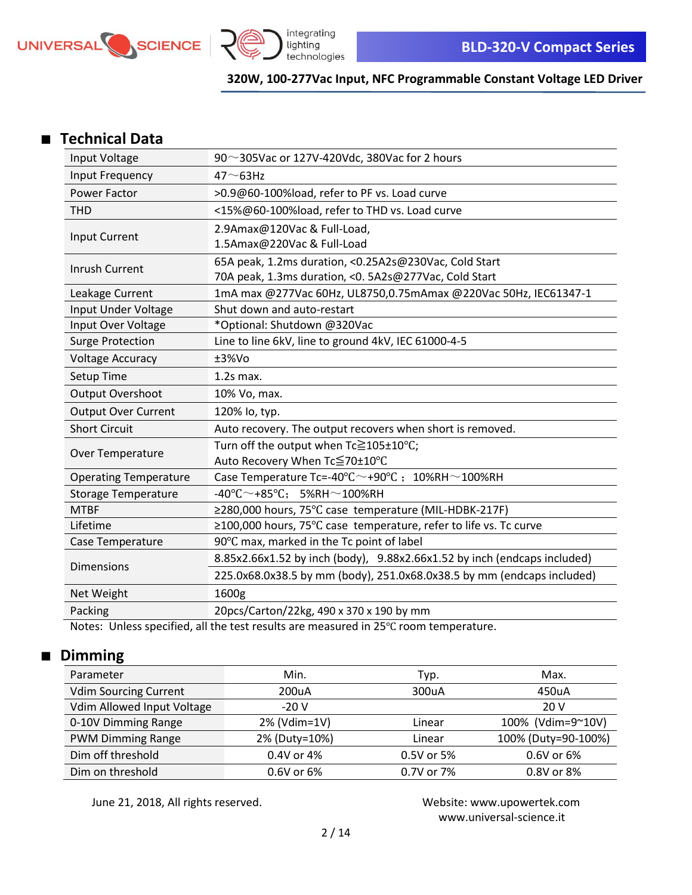



### ■ **Technical Data**

| Input Voltage                | 90 $\sim$ 305Vac or 127V-420Vdc, 380Vac for 2 hours                              |  |
|------------------------------|----------------------------------------------------------------------------------|--|
| Input Frequency              | $47 \sim 63$ Hz                                                                  |  |
| Power Factor                 | >0.9@60-100%load, refer to PF vs. Load curve                                     |  |
| <b>THD</b>                   | <15%@60-100%load, refer to THD vs. Load curve                                    |  |
| Input Current                | 2.9Amax@120Vac & Full-Load,                                                      |  |
|                              | 1.5Amax@220Vac & Full-Load                                                       |  |
| <b>Inrush Current</b>        | 65A peak, 1.2ms duration, <0.25A2s@230Vac, Cold Start                            |  |
|                              | 70A peak, 1.3ms duration, < 0. 5A2s@277Vac, Cold Start                           |  |
| Leakage Current              | 1mA max @277Vac 60Hz, UL8750,0.75mAmax @220Vac 50Hz, IEC61347-1                  |  |
| Input Under Voltage          | Shut down and auto-restart                                                       |  |
| Input Over Voltage           | *Optional: Shutdown @320Vac                                                      |  |
| <b>Surge Protection</b>      | Line to line 6kV, line to ground 4kV, IEC 61000-4-5                              |  |
| <b>Voltage Accuracy</b>      | ±3%Vo                                                                            |  |
| Setup Time                   | $1.2s$ max.                                                                      |  |
| <b>Output Overshoot</b>      | 10% Vo, max.                                                                     |  |
| <b>Output Over Current</b>   | 120% lo, typ.                                                                    |  |
| <b>Short Circuit</b>         | Auto recovery. The output recovers when short is removed.                        |  |
| Over Temperature             | Turn off the output when Tc≧105±10°C;                                            |  |
|                              | Auto Recovery When Tc≦70±10°C                                                    |  |
| <b>Operating Temperature</b> | Case Temperature Tc=-40 $\degree$ C $\sim$ +90 $\degree$ C ; 10%RH $\sim$ 100%RH |  |
| <b>Storage Temperature</b>   | $-40^{\circ}$ C $\sim$ +85 $^{\circ}$ C; 5%RH $\sim$ 100%RH                      |  |
| <b>MTBF</b>                  | ≥280,000 hours, 75°C case temperature (MIL-HDBK-217F)                            |  |
| Lifetime                     | ≥100,000 hours, 75°C case temperature, refer to life vs. Tc curve                |  |
| Case Temperature             | 90°C max, marked in the Tc point of label                                        |  |
| Dimensions                   | 8.85x2.66x1.52 by inch (body), 9.88x2.66x1.52 by inch (endcaps included)         |  |
|                              | 225.0x68.0x38.5 by mm (body), 251.0x68.0x38.5 by mm (endcaps included)           |  |
| Net Weight                   | 1600g                                                                            |  |
| Packing                      | 20pcs/Carton/22kg, 490 x 370 x 190 by mm                                         |  |

Notes: Unless specified, all the test results are measured in 25℃ room temperature.

# ■ **Dimming**

| Parameter                    | Min.          | Typ.       | Max.                |
|------------------------------|---------------|------------|---------------------|
| <b>Vdim Sourcing Current</b> | 200uA         | 300uA      | 450uA               |
| Vdim Allowed Input Voltage   | $-20V$        |            | 20 V                |
| 0-10V Dimming Range          | 2% (Vdim=1V)  | Linear     | 100% (Vdim=9~10V)   |
| <b>PWM Dimming Range</b>     | 2% (Duty=10%) | Linear     | 100% (Duty=90-100%) |
| Dim off threshold            | 0.4V or 4%    | 0.5V or 5% | 0.6V or 6%          |
| Dim on threshold             | 0.6V or 6%    | 0.7V or 7% | 0.8V or 8%          |

June 21, 2018, All rights reserved. Website: [www.upowertek.com](http://www.upowertek.com/)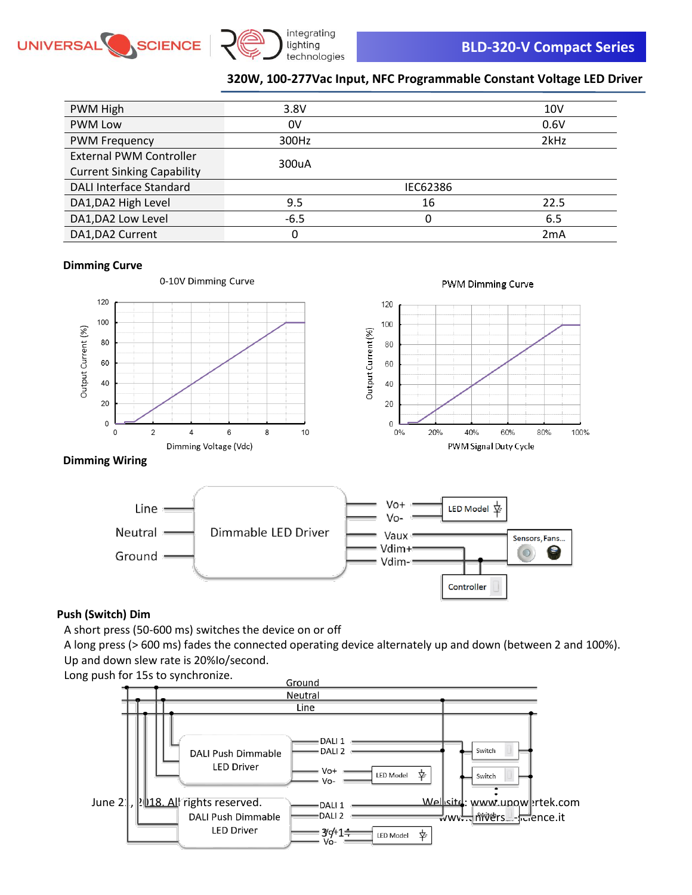



 $\circ$ 

Controller

### **320W, 100-277Vac Input, NFC Programmable Constant Voltage LED Driver**

| PWM High                          | 3.8V   |          | 10 <sub>V</sub> |
|-----------------------------------|--------|----------|-----------------|
| <b>PWM Low</b>                    | 0V     |          | 0.6V            |
| <b>PWM Frequency</b>              | 300Hz  |          | 2kHz            |
| <b>External PWM Controller</b>    | 300uA  |          |                 |
| <b>Current Sinking Capability</b> |        |          |                 |
| DALI Interface Standard           |        | IEC62386 |                 |
| DA1, DA2 High Level               | 9.5    | 16       | 22.5            |
| DA1, DA2 Low Level                | $-6.5$ | 0        | 6.5             |
| DA1, DA2 Current                  | 0      |          | 2mA             |

#### **Dimming Curve**



### **Push (Switch) Dim**

A short press (50-600 ms) switches the device on or off

A long press (> 600 ms) fades the connected operating device alternately up and down (between 2 and 100%). Up and down slew rate is 20%Io/second.

Vdim+

Vdim-

Long push for 15s to synchronize.

Ground -

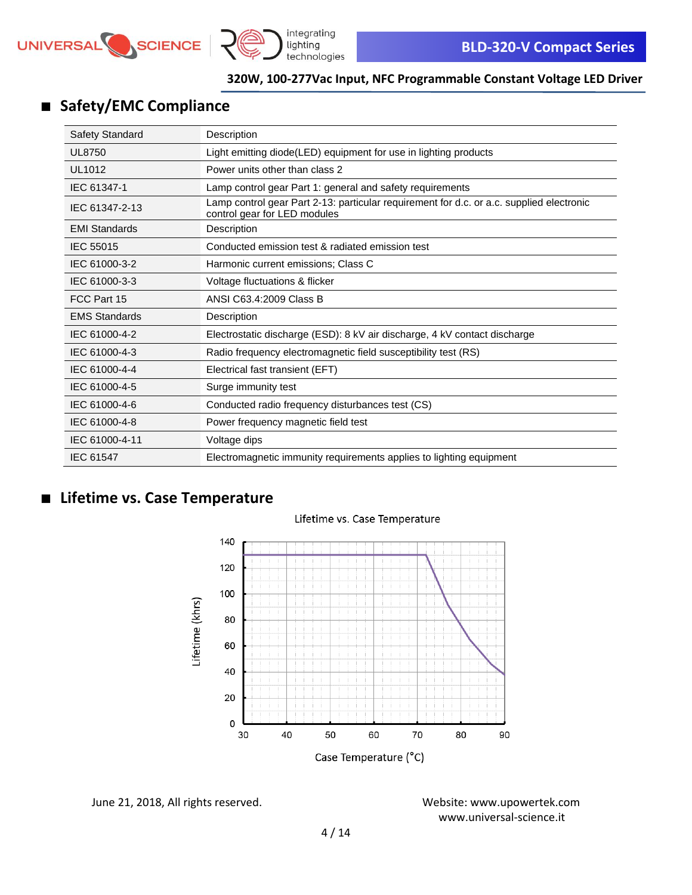



# ■ **Safety/EMC Compliance**

| Safety Standard      | Description                                                                                                              |
|----------------------|--------------------------------------------------------------------------------------------------------------------------|
| <b>UL8750</b>        | Light emitting diode(LED) equipment for use in lighting products                                                         |
| <b>UL1012</b>        | Power units other than class 2                                                                                           |
| IEC 61347-1          | Lamp control gear Part 1: general and safety requirements                                                                |
| IEC 61347-2-13       | Lamp control gear Part 2-13: particular requirement for d.c. or a.c. supplied electronic<br>control gear for LED modules |
| <b>EMI Standards</b> | Description                                                                                                              |
| IEC 55015            | Conducted emission test & radiated emission test                                                                         |
| IEC 61000-3-2        | Harmonic current emissions; Class C                                                                                      |
| IEC 61000-3-3        | Voltage fluctuations & flicker                                                                                           |
| FCC Part 15          | ANSI C63.4:2009 Class B                                                                                                  |
| <b>EMS Standards</b> | Description                                                                                                              |
| IEC 61000-4-2        | Electrostatic discharge (ESD): 8 kV air discharge, 4 kV contact discharge                                                |
| IEC 61000-4-3        | Radio frequency electromagnetic field susceptibility test (RS)                                                           |
| IEC 61000-4-4        | Electrical fast transient (EFT)                                                                                          |
| IEC 61000-4-5        | Surge immunity test                                                                                                      |
| IEC 61000-4-6        | Conducted radio frequency disturbances test (CS)                                                                         |
| IEC 61000-4-8        | Power frequency magnetic field test                                                                                      |
| IEC 61000-4-11       | Voltage dips                                                                                                             |
| IEC 61547            | Electromagnetic immunity requirements applies to lighting equipment                                                      |

### ■ **Lifetime vs. Case Temperature**

#### Lifetime vs. Case Temperature



June 21, 2018, All rights reserved. Website: [www.upowertek.com](http://www.upowertek.com/)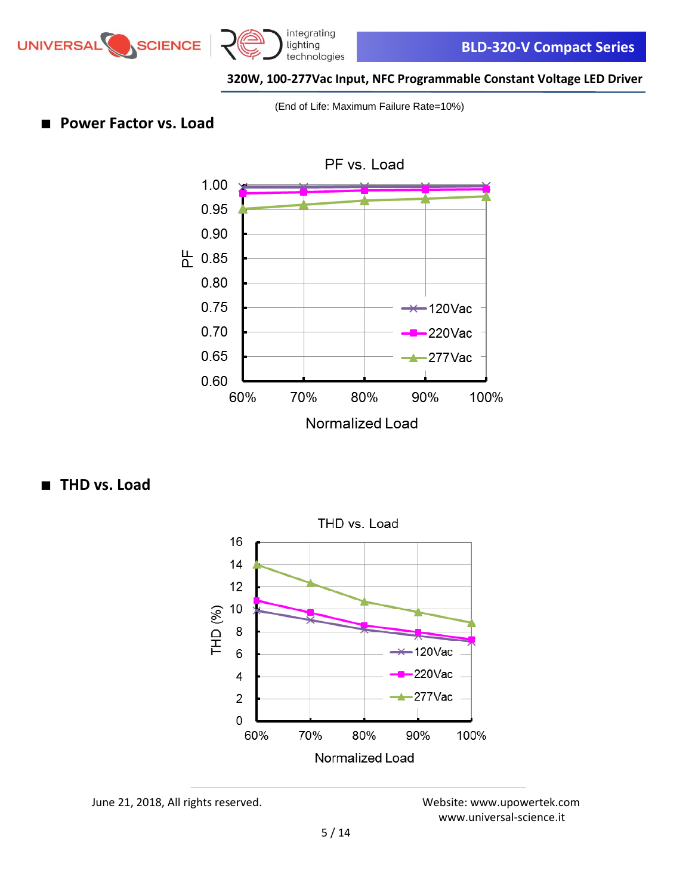



(End of Life: Maximum Failure Rate=10%)

■ **Power Factor vs. Load** 



■ **THD** vs. Load



June 21, 2018, All rights reserved. Website: [www.upowertek.com](http://www.upowertek.com/)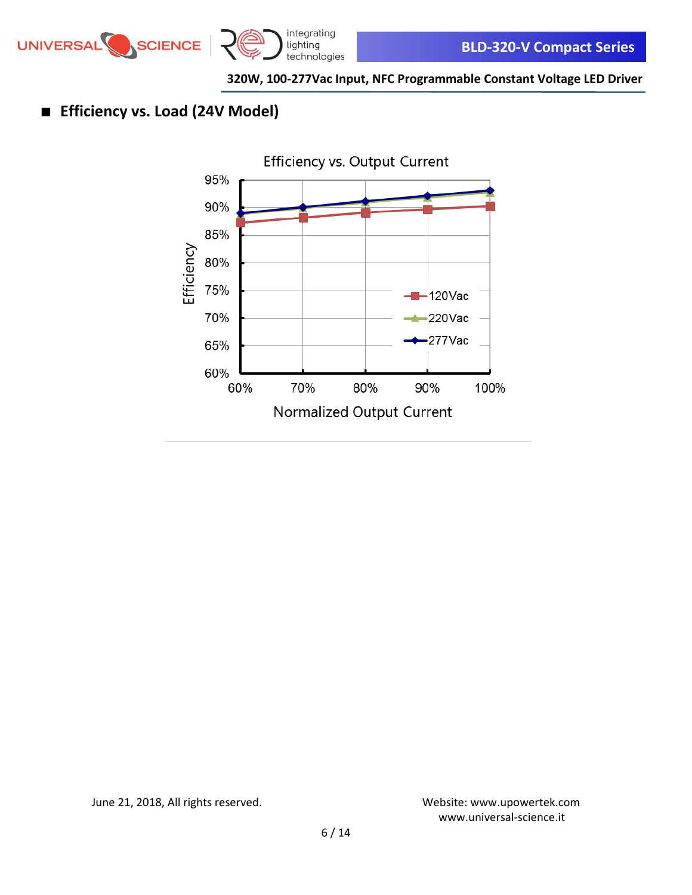



# ■ **Efficiency vs. Load (24V Model)**



June 21, 2018, All rights reserved. Website: [www.upowertek.com](http://www.upowertek.com/)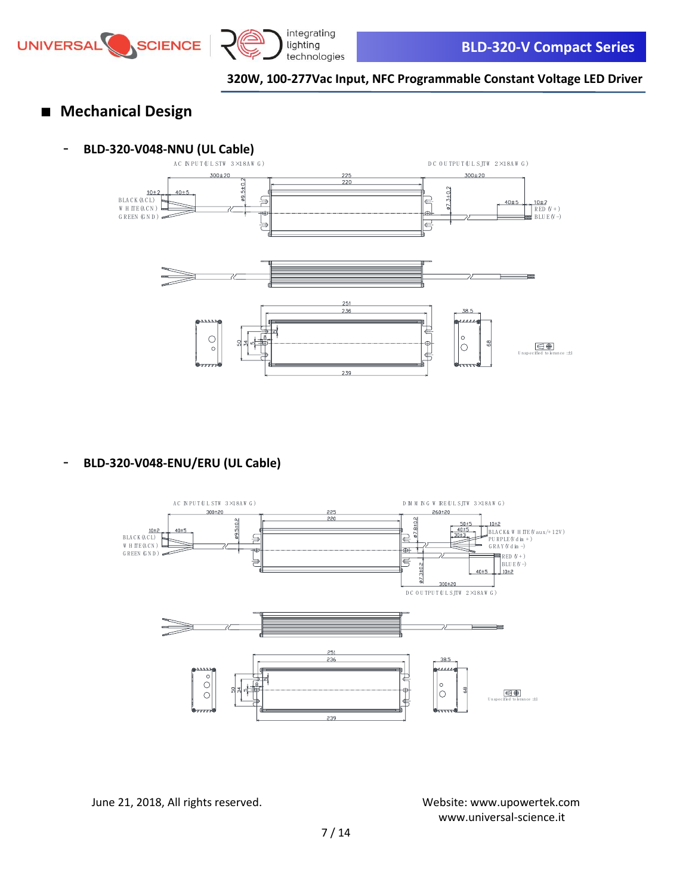



## ■ **Mechanical Design**

# **- BLD-320-V048-NNU (UL Cable)**<br>AC NPUTQL STW 3X18AW G)



- **BLD-320-V048-ENU/ERU (UL Cable)**

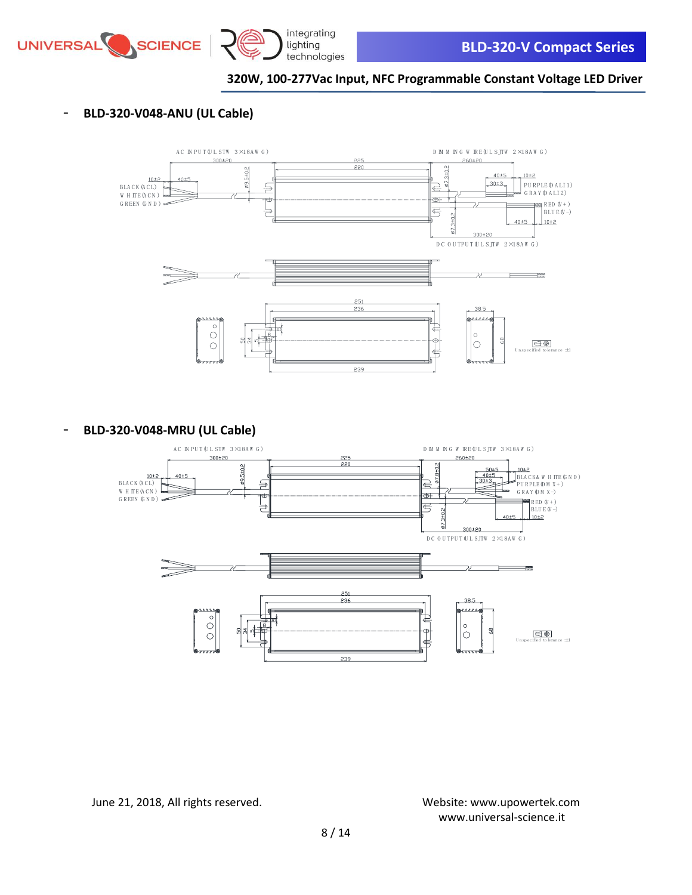



### - **BLD-320-V048-ANU (UL Cable)**



- **BLD-320-V048-MRU (UL Cable)**

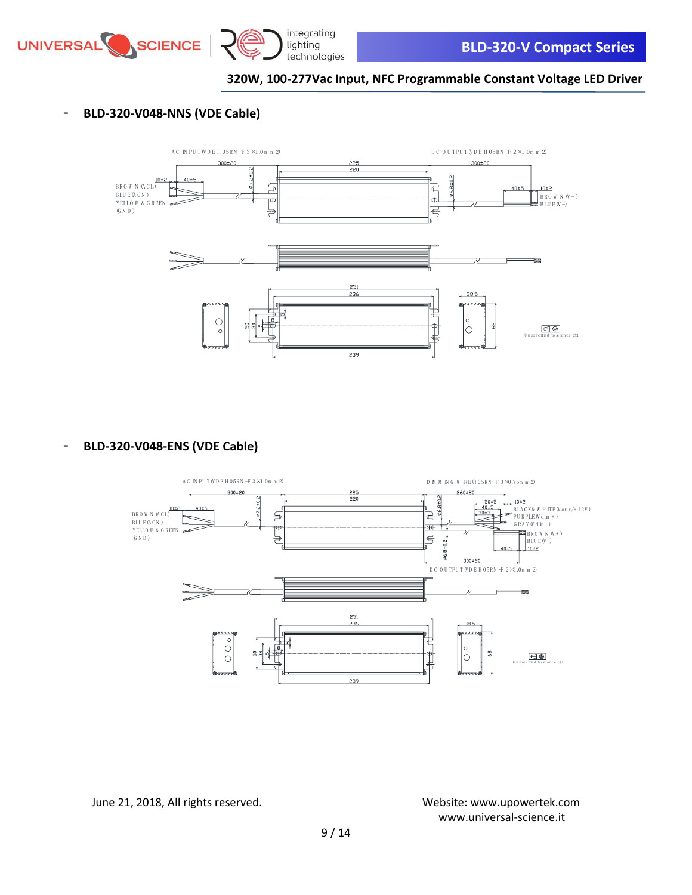



### - **BLD-320-V048-NNS (VDE Cable)**



- **BLD-320-V048-ENS (VDE Cable)**

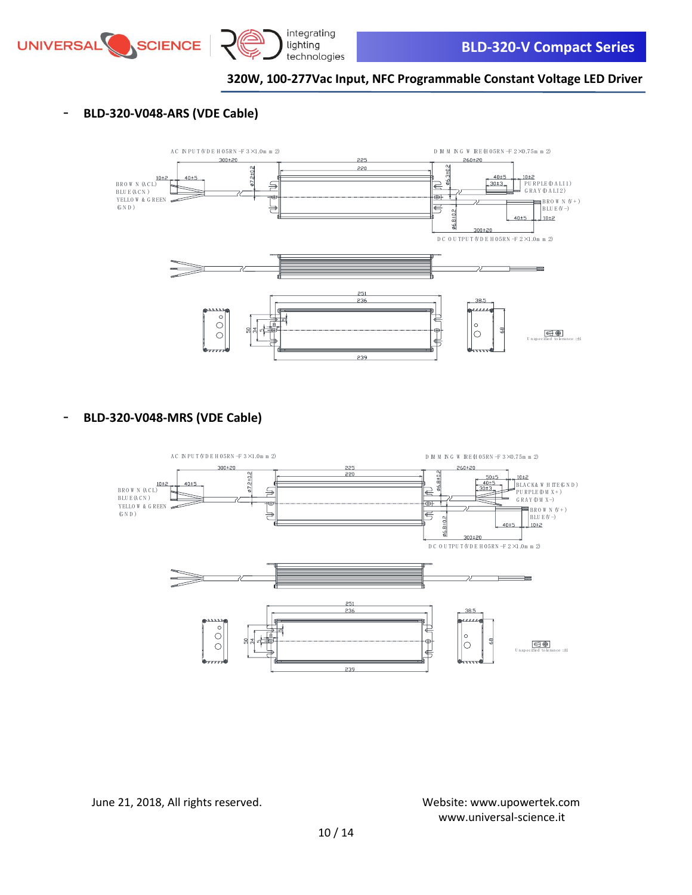



- **BLD-320-V048-ARS (VDE Cable)**



- **BLD-320-V048-MRS (VDE Cable)**

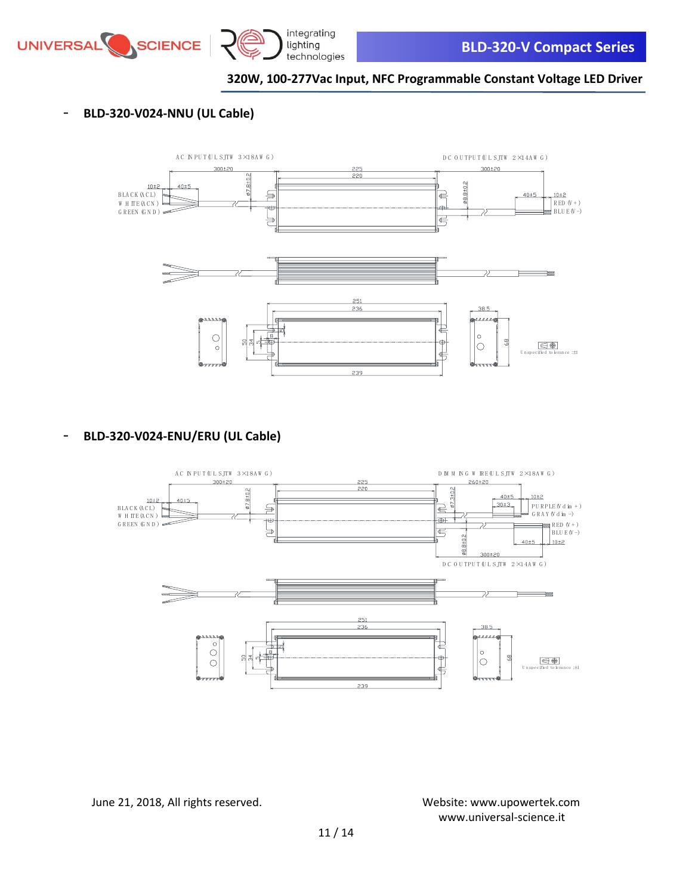



### - **BLD-320-V024-NNU (UL Cable)**



- **BLD-320-V024-ENU/ERU (UL Cable)**

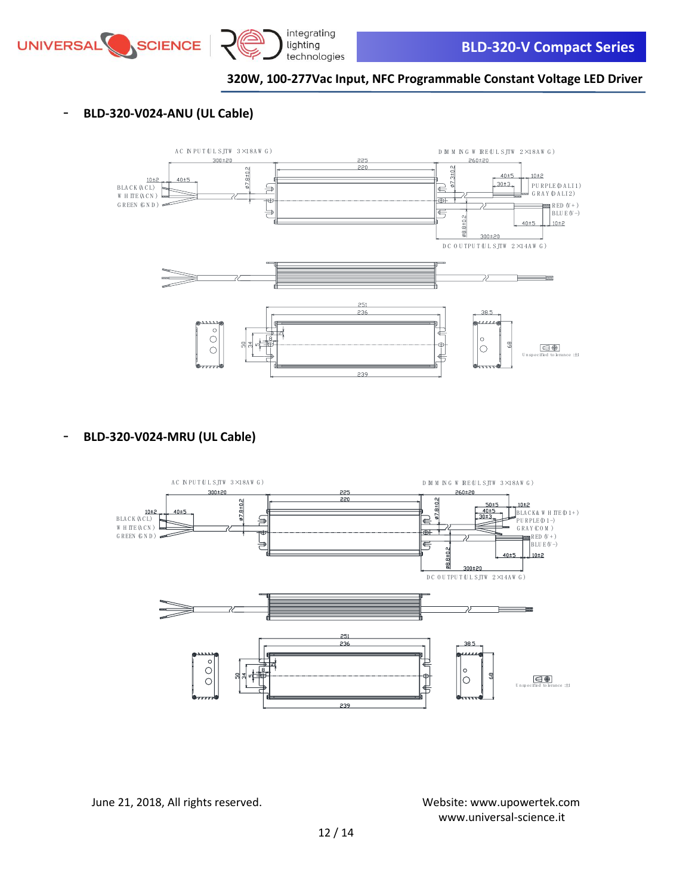



### - **BLD-320-V024-ANU (UL Cable)**



- **BLD-320-V024-MRU (UL Cable)**

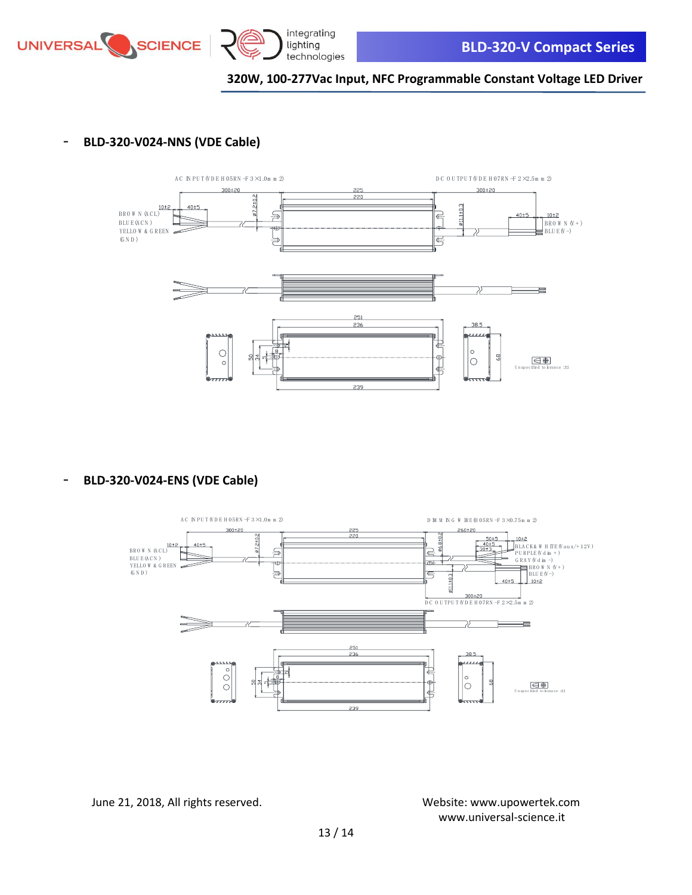



#### - **BLD-320-V024-NNS (VDE Cable)**



- **BLD-320-V024-ENS (VDE Cable)**